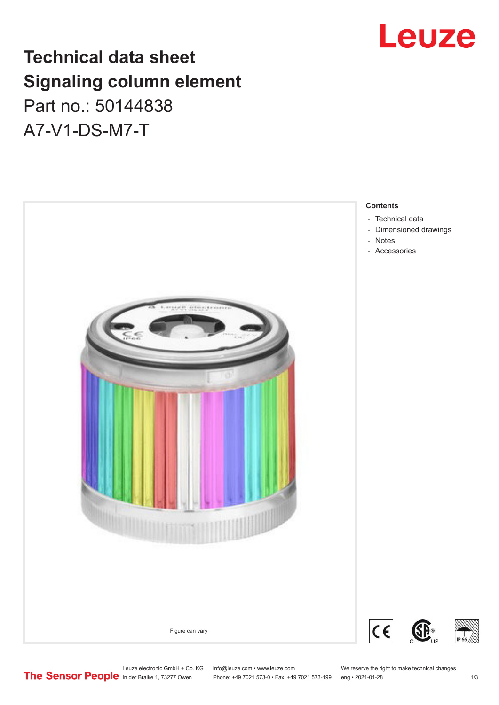

## **Technical data sheet Signaling column element**

Part no.: 50144838 A7-V1-DS-M7-T



Leuze electronic GmbH + Co. KG info@leuze.com • www.leuze.com We reserve the right to make technical changes<br>
The Sensor People in der Braike 1, 73277 Owen Phone: +49 7021 573-0 • Fax: +49 7021 573-199 eng • 2021-01-28

Phone: +49 7021 573-0 • Fax: +49 7021 573-199 eng • 2021-01-28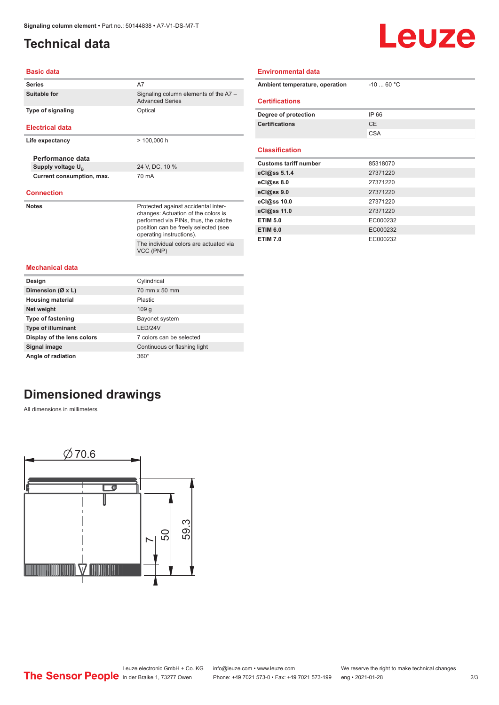### <span id="page-1-0"></span>**Technical data**

# Leuze

#### **Basic data**

| <b>Series</b>                 | A7                                                                           |  |  |
|-------------------------------|------------------------------------------------------------------------------|--|--|
| Suitable for                  | Signaling column elements of the A7 -<br><b>Advanced Series</b>              |  |  |
| <b>Type of signaling</b>      | Optical                                                                      |  |  |
|                               |                                                                              |  |  |
| <b>Electrical data</b>        |                                                                              |  |  |
| Life expectancy               | $> 100,000$ h                                                                |  |  |
|                               |                                                                              |  |  |
| Performance data              |                                                                              |  |  |
| Supply voltage U <sub>B</sub> | 24 V, DC, 10 %                                                               |  |  |
| Current consumption, max.     | 70 mA                                                                        |  |  |
| <b>Connection</b>             |                                                                              |  |  |
|                               |                                                                              |  |  |
| <b>Notes</b>                  | Protected against accidental inter-                                          |  |  |
|                               | changes: Actuation of the colors is<br>performed via PINs, thus, the calotte |  |  |
|                               | position can be freely selected (see                                         |  |  |
|                               | operating instructions).                                                     |  |  |
|                               | The individual colors are actuated via                                       |  |  |
|                               | VCC (PNP)                                                                    |  |  |
| <b>Mechanical data</b>        |                                                                              |  |  |
|                               |                                                                              |  |  |
| Design                        | Cylindrical                                                                  |  |  |
| Dimension (Ø x L)             | 70 mm x 50 mm                                                                |  |  |
| <b>Housing material</b>       | Plastic                                                                      |  |  |
| Net weight                    | 109 <sub>g</sub>                                                             |  |  |
| <b>Type of fastening</b>      | Bayonet system                                                               |  |  |
| <b>Type of illuminant</b>     | I FD/24V                                                                     |  |  |
| Display of the lens colors    | 7 colors can be selected                                                     |  |  |
| Signal image                  | Continuous or flashing light                                                 |  |  |

| Ambient temperature, operation | $-1060 °C$ |  |  |  |  |  |
|--------------------------------|------------|--|--|--|--|--|
| <b>Certifications</b>          |            |  |  |  |  |  |
| Degree of protection           | IP 66      |  |  |  |  |  |
| <b>Certifications</b>          | <b>CE</b>  |  |  |  |  |  |
|                                | <b>CSA</b> |  |  |  |  |  |
|                                |            |  |  |  |  |  |
| <b>Classification</b>          |            |  |  |  |  |  |
| <b>Customs tariff number</b>   | 85318070   |  |  |  |  |  |
| eCl@ss 5.1.4                   | 27371220   |  |  |  |  |  |
| eCl@ss 8.0                     | 27371220   |  |  |  |  |  |
| eCl@ss 9.0                     | 27371220   |  |  |  |  |  |
| eCl@ss 10.0                    | 27371220   |  |  |  |  |  |
| eCl@ss 11.0                    | 27371220   |  |  |  |  |  |
| <b>ETIM 5.0</b>                | EC000232   |  |  |  |  |  |
| <b>ETIM 6.0</b>                | EC000232   |  |  |  |  |  |
| <b>ETIM 7.0</b>                | EC000232   |  |  |  |  |  |

**Environmental data**

### **Dimensioned drawings**

**Angle of radiation** 360°

All dimensions in millimeters